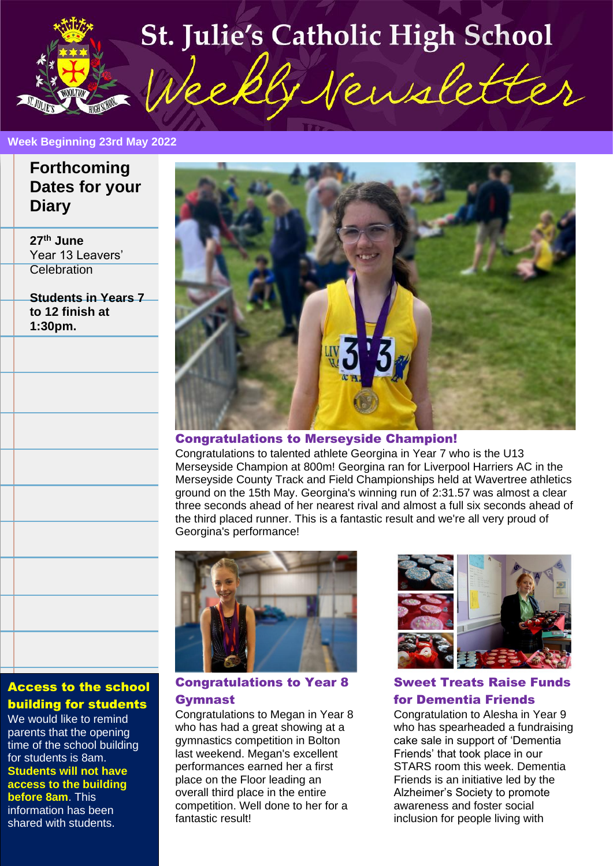# **St. Julie's Catholic High School** Week GNewsletter

#### **Week Beginning 23rd May 2022**

**J December 2021** 

# **Forthcoming Dates for your Diary**

**27th June** Year 13 Leavers' **Celebration** 

**Students in Years 7 to 12 finish at 1:30pm.**



#### Congratulations to Merseyside Champion!

Congratulations to talented athlete Georgina in Year 7 who is the U13 Merseyside Champion at 800m! Georgina ran for Liverpool Harriers AC in the Merseyside County Track and Field Championships held at Wavertree athletics ground on the 15th May. Georgina's winning run of 2:31.57 was almost a clear three seconds ahead of her nearest rival and almost a full six seconds ahead of the third placed runner. This is a fantastic result and we're all very proud of Georgina's performance!



## Congratulations to Year 8 Gymnast

Congratulations to Megan in Year 8 who has had a great showing at a gymnastics competition in Bolton last weekend. Megan's excellent performances earned her a first place on the Floor leading an overall third place in the entire competition. Well done to her for a fantastic result!



Sweet Treats Raise Funds for Dementia Friends

Congratulation to Alesha in Year 9 who has spearheaded a fundraising cake sale in support of 'Dementia Friends' that took place in our STARS room this week. Dementia Friends is an initiative led by the Alzheimer's Society to promote awareness and foster social inclusion for people living with

# Access to the school building for students

We would like to remind parents that the opening time of the school building for students is 8am. **Students will not have access to the building before 8am**. This information has been shared with students.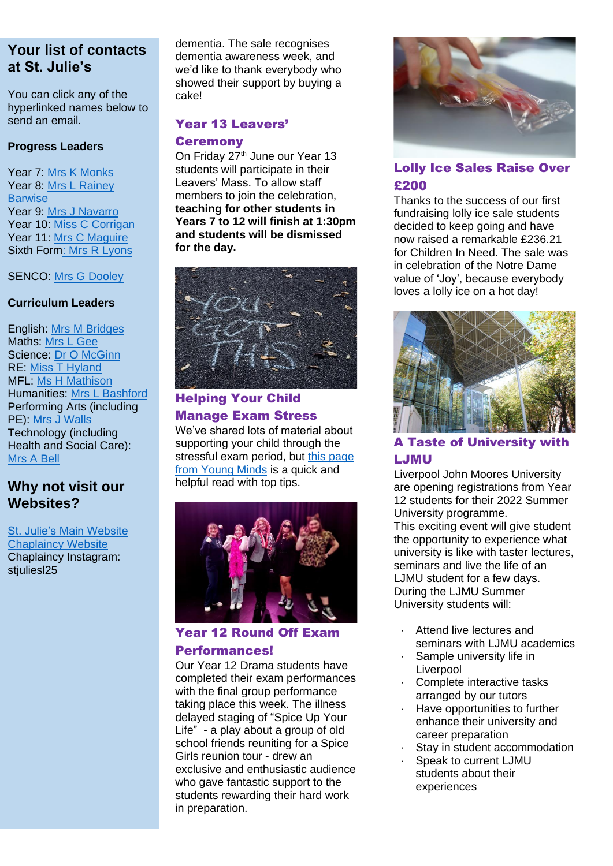You can click any of the hyperlinked names below to send an email.

#### **Progress Leaders**

Year 7: [Mrs K Monks](mailto:kmonks@stjulies.org.uk) Year 8: [Mrs L Rainey](mailto:lrainey@stjulies.org.uk)  **[Barwise](mailto:lrainey@stjulies.org.uk)** Year 9: [Mrs J Navarro](mailto:jnavarro@stjulies.org.uk) Year 10: [Miss C Corrigan](mailto:ccorrigan@stjulies.org.uk) Year 11: [Mrs C Maguire](mailto:cpeers@stjulies.org.uk) Sixth For[m: Mrs R Lyons](mailto:rkelly@stjulies.org.uk)

#### SENCO: [Mrs G Dooley](mailto:gdooley@stjulies.org.uk)

#### **Curriculum Leaders**

English: [Mrs M Bridges](mailto:mbridges@stjulies.org.uk) Maths: [Mrs L Gee](mailto:lgee@stjulies.org.uk) Science: [Dr O McGinn](mailto:omcginn@stjulies.org.uk) RE: [Miss T Hyland](mailto:thyland@stjulies.org.uk) MFL: [Ms H Mathison](mailto:hemathison@stjulies.org.uk) Humanities: [Mrs L Bashford](mailto:lbashford@stjulies.org.uk) Performing Arts (including PE): [Mrs J Walls](mailto:jwalls@stjulies.org.uk) Technology (including Health and Social Care): [Mrs](mailto:abell@stjulies.org.uk) A Bell

# **Why not visit our Websites?**

[St. Julie's Main Website](http://www.stjulies.org.uk/) [Chaplaincy Website](http://chaplaincy.stjulies.org.uk/) Chaplaincy Instagram: stjulies<sub>125</sub>

dementia. The sale recognises dementia awareness week, and we'd like to thank everybody who showed their support by buying a cake!

# Year 13 Leavers'

## **Ceremony**

On Friday 27<sup>th</sup> June our Year 13 students will participate in their Leavers' Mass. To allow staff members to join the celebration, **teaching for other students in Years 7 to 12 will finish at 1:30pm and students will be dismissed for the day.**



# Helping Your Child Manage Exam Stress

We've shared lots of material about supporting your child through the stressful exam period, but this page [from Young Minds](https://www.youngminds.org.uk/parent/blog/how-to-help-your-child-manage-exam-stress/) is a quick and helpful read with top tips.



## Year 12 Round Off Exam Performances!

Our Year 12 Drama students have completed their exam performances with the final group performance taking place this week. The illness delayed staging of "Spice Up Your Life" - a play about a group of old school friends reuniting for a Spice Girls reunion tour - drew an exclusive and enthusiastic audience who gave fantastic support to the students rewarding their hard work in preparation.



## Lolly Ice Sales Raise Over £200

Thanks to the success of our first fundraising lolly ice sale students decided to keep going and have now raised a remarkable £236.21 for Children In Need. The sale was in celebration of the Notre Dame value of 'Joy', because everybody loves a lolly ice on a hot day!



## A Taste of University with LJMU

Liverpool John Moores University are opening registrations from Year 12 students for their 2022 Summer University programme.

This exciting event will give student the opportunity to experience what university is like with taster lectures, seminars and live the life of an LJMU student for a few days. During the LJMU Summer University students will:

- Attend live lectures and seminars with LJMU academics
- Sample university life in **Liverpool**
- Complete interactive tasks arranged by our tutors
- Have opportunities to further enhance their university and career preparation
- Stay in student accommodation
- Speak to current LJMU students about their experiences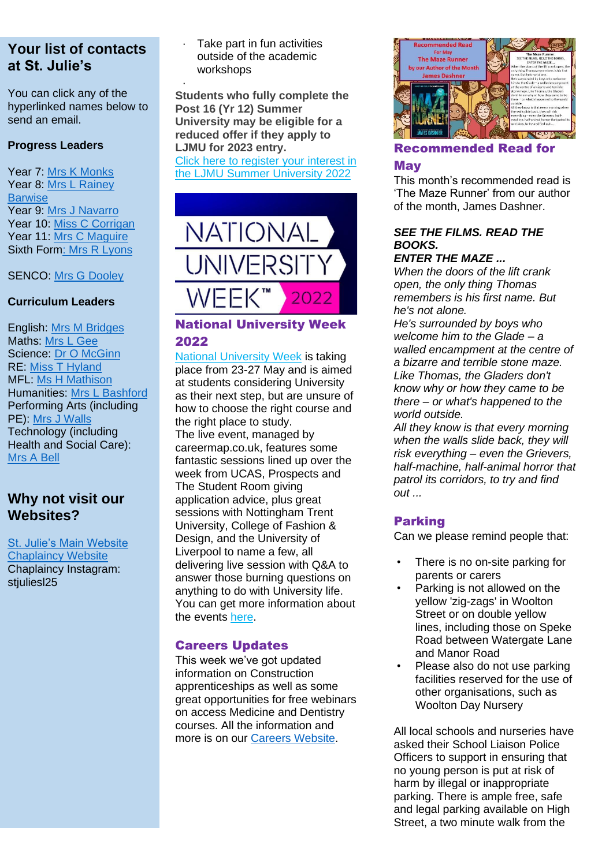You can click any of the hyperlinked names below to send an email.

## **Progress Leaders**

Year 7: [Mrs K Monks](mailto:kmonks@stjulies.org.uk) Year 8: [Mrs L Rainey](mailto:lrainey@stjulies.org.uk)  **[Barwise](mailto:lrainey@stjulies.org.uk)** Year 9: [Mrs J Navarro](mailto:jnavarro@stjulies.org.uk) Year 10: [Miss C Corrigan](mailto:ccorrigan@stjulies.org.uk) Year 11: [Mrs C Maguire](mailto:cpeers@stjulies.org.uk) Sixth For[m: Mrs R Lyons](mailto:rkelly@stjulies.org.uk)

SENCO: [Mrs G Dooley](mailto:gdooley@stjulies.org.uk)

## **Curriculum Leaders**

English: [Mrs M Bridges](mailto:mbridges@stjulies.org.uk) Maths: [Mrs L Gee](mailto:lgee@stjulies.org.uk) Science: [Dr O McGinn](mailto:omcginn@stjulies.org.uk) RE: [Miss T Hyland](mailto:thyland@stjulies.org.uk) MFL: [Ms H Mathison](mailto:hemathison@stjulies.org.uk) Humanities: [Mrs L Bashford](mailto:lbashford@stjulies.org.uk) Performing Arts (including PE): [Mrs J Walls](mailto:jwalls@stjulies.org.uk) Technology (including Health and Social Care): [Mrs](mailto:abell@stjulies.org.uk) A Bell

# **Why not visit our Websites?**

[St. Julie's Main Website](http://www.stjulies.org.uk/) [Chaplaincy Website](http://chaplaincy.stjulies.org.uk/) Chaplaincy Instagram: stiuliesl25

Take part in fun activities outside of the academic workshops

· **Students who fully complete the Post 16 (Yr 12) Summer University may be eligible for a reduced offer if they apply to LJMU for 2023 entry.** Click here to [register](https://r1.dotdigital-pages.com/p/2SCX-AYT/ljmu-summer-university-22) your interest in

the LJMU Summer [University](https://r1.dotdigital-pages.com/p/2SCX-AYT/ljmu-summer-university-22) 2022



## National University Week 2022

National [University](https://careermap.us7.list-manage.com/track/click?u=ad6ea66c62b50396e776ca853&id=41d5575300&e=b632c4bf6c) Week is taking place from 23-27 May and is aimed at students considering University as their next step, but are unsure of how to choose the right course and the right place to study. The live event, managed by careermap.co.uk, features some fantastic sessions lined up over the week from UCAS, Prospects and The Student Room giving application advice, plus great sessions with Nottingham Trent University, College of Fashion & Design, and the University of Liverpool to name a few, all delivering live session with Q&A to answer those burning questions on anything to do with University life. You can get more information about the events [here.](https://nationaluniversityweek.co.uk/events/)

## Careers Updates

This week we've got updated information on Construction apprenticeships as well as some great opportunities for free webinars on access Medicine and Dentistry courses. All the information and more is on our [Careers Website.](http://careers.stjulies.org.uk/)



# Recommended Read for **May**

This month's recommended read is 'The Maze Runner' from our author of the month, James Dashner.

## *SEE THE FILMS. READ THE BOOKS.*

## *ENTER THE MAZE ...*

*When the doors of the lift crank open, the only thing Thomas remembers is his first name. But he's not alone.*

*He's surrounded by boys who welcome him to the Glade – a walled encampment at the centre of a bizarre and terrible stone maze. Like Thomas, the Gladers don't know why or how they came to be there – or what's happened to the world outside.*

*All they know is that every morning when the walls slide back, they will risk everything – even the Grievers, half-machine, half-animal horror that patrol its corridors, to try and find out ...*

## Parking

Can we please remind people that:

- There is no on-site parking for parents or carers
- Parking is not allowed on the yellow 'zig-zags' in Woolton Street or on double yellow lines, including those on Speke Road between Watergate Lane and Manor Road
- Please also do not use parking facilities reserved for the use of other organisations, such as Woolton Day Nursery

All local schools and nurseries have asked their School Liaison Police Officers to support in ensuring that no young person is put at risk of harm by illegal or inappropriate parking. There is ample free, safe and legal parking available on High Street, a two minute walk from the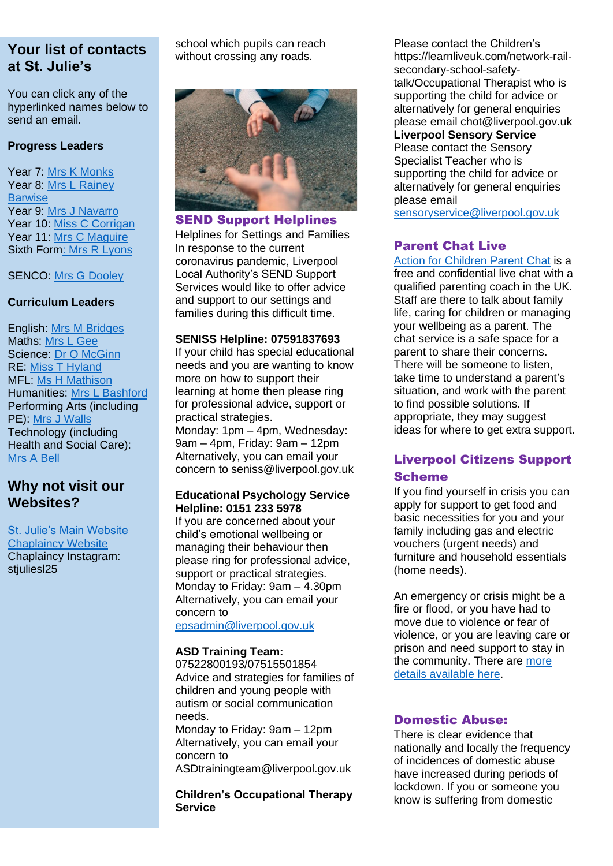You can click any of the hyperlinked names below to send an email.

#### **Progress Leaders**

Year 7: [Mrs K Monks](mailto:kmonks@stjulies.org.uk) Year 8: [Mrs L Rainey](mailto:lrainey@stjulies.org.uk)  **[Barwise](mailto:lrainey@stjulies.org.uk)** Year 9: [Mrs J Navarro](mailto:jnavarro@stjulies.org.uk) Year 10: [Miss C Corrigan](mailto:ccorrigan@stjulies.org.uk) Year 11: [Mrs C Maguire](mailto:cpeers@stjulies.org.uk) Sixth For[m: Mrs R Lyons](mailto:rkelly@stjulies.org.uk)

SENCO: [Mrs G Dooley](mailto:gdooley@stjulies.org.uk)

## **Curriculum Leaders**

English: [Mrs M Bridges](mailto:mbridges@stjulies.org.uk) Maths: [Mrs L Gee](mailto:lgee@stjulies.org.uk) Science: [Dr O McGinn](mailto:omcginn@stjulies.org.uk) RE: [Miss T Hyland](mailto:thyland@stjulies.org.uk) MFL [Ms H Mathison](mailto:hemathison@stjulies.org.uk) Humanities: [Mrs L Bashford](mailto:lbashford@stjulies.org.uk) Performing Arts (including PE): [Mrs J Walls](mailto:jwalls@stjulies.org.uk) Technology (including Health and Social Care): [Mrs](mailto:abell@stjulies.org.uk) A Bell

# **Why not visit our Websites?**

[St. Julie's Main Website](http://www.stjulies.org.uk/) **[Chaplaincy Website](http://chaplaincy.stjulies.org.uk/)** Chaplaincy Instagram: stiulies 25

school which pupils can reach without crossing any roads.



## SEND Support Helplines

Helplines for Settings and Families In response to the current coronavirus pandemic, Liverpool Local Authority's SEND Support Services would like to offer advice and support to our settings and families during this difficult time.

#### **SENISS Helpline: 07591837693**

If your child has special educational needs and you are wanting to know more on how to support their learning at home then please ring for professional advice, support or practical strategies. Monday: 1pm – 4pm, Wednesday: 9am – 4pm, Friday: 9am – 12pm Alternatively, you can email your concern to seniss@liverpool.gov.uk

#### **Educational Psychology Service Helpline: 0151 233 5978**

If you are concerned about your child's emotional wellbeing or managing their behaviour then please ring for professional advice, support or practical strategies. Monday to Friday: 9am – 4.30pm Alternatively, you can email your concern to

[epsadmin@liverpool.gov.uk](mailto:epsadmin@liverpool.gov.uk)

#### **ASD Training Team:**

07522800193/07515501854 Advice and strategies for families of children and young people with autism or social communication needs.

Monday to Friday: 9am – 12pm Alternatively, you can email your concern to

ASDtrainingteam@liverpool.gov.uk

**Children's Occupational Therapy Service**

Please contact the Children's https://learnliveuk.com/network-railsecondary-school-safetytalk/Occupational Therapist who is supporting the child for advice or alternatively for general enquiries please email chot@liverpool.gov.uk **Liverpool Sensory Service** Please contact the Sensory Specialist Teacher who is supporting the child for advice or alternatively for general enquiries please email

[sensoryservice@liverpool.gov.uk](mailto:sensoryservice@liverpool.gov.uk)

## Parent Chat Live

[Action for Children Parent Chat](https://parents.actionforchildren.org.uk/chat/) is a free and confidential live chat with a qualified parenting coach in the UK. Staff are there to talk about family life, caring for children or managing your wellbeing as a parent. The chat service is a safe space for a parent to share their concerns. There will be someone to listen, take time to understand a parent's situation, and work with the parent to find possible solutions. If appropriate, they may suggest ideas for where to get extra support.

## Liverpool Citizens Support Scheme

If you find yourself in crisis you can apply for support to get food and basic necessities for you and your family including gas and electric vouchers (urgent needs) and furniture and household essentials (home needs).

An emergency or crisis might be a fire or flood, or you have had to move due to violence or fear of violence, or you are leaving care or prison and need support to stay in the community. There are [more](http://media.stjulies.org.uk/newsletters/liverpoolcitizensupportscheme.pdf)  [details available here.](http://media.stjulies.org.uk/newsletters/liverpoolcitizensupportscheme.pdf)

## Domestic Abuse:

There is clear evidence that nationally and locally the frequency of incidences of domestic abuse have increased during periods of lockdown. If you or someone you know is suffering from domestic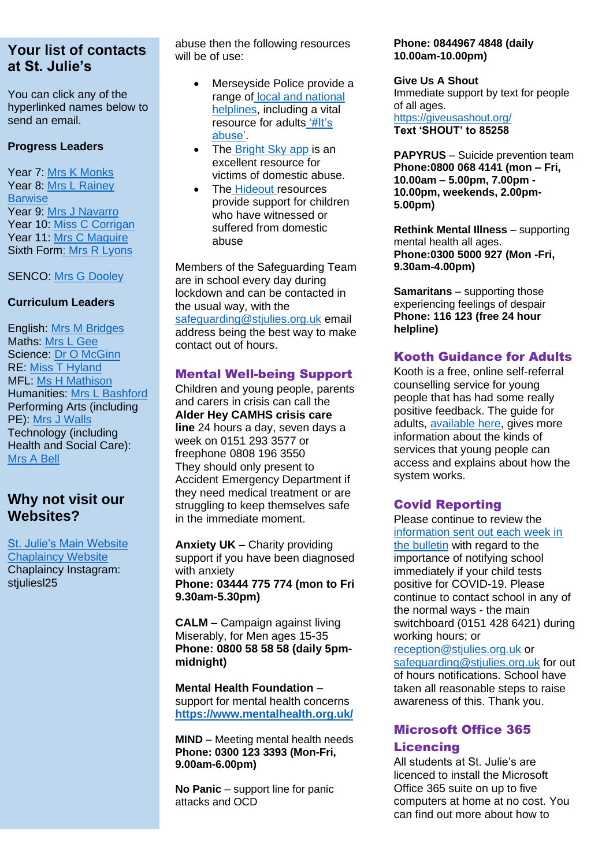You can click any of the hyperlinked names below to send an email.

#### **Progress Leaders**

Year 7: [Mrs K Monks](mailto:kmonks@stjulies.org.uk) Year 8: [Mrs L Rainey](mailto:lrainey@stjulies.org.uk)  **[Barwise](mailto:lrainey@stjulies.org.uk)** Year 9: [Mrs J Navarro](mailto:jnavarro@stjulies.org.uk) Year 10: [Miss C Corrigan](mailto:ccorrigan@stjulies.org.uk) Year 11: [Mrs C Maguire](mailto:cpeers@stjulies.org.uk) Sixth For[m: Mrs R Lyons](mailto:rkelly@stjulies.org.uk)

## SENCO: [Mrs G Dooley](mailto:gdooley@stjulies.org.uk)

#### **Curriculum Leaders**

English: [Mrs M Bridges](mailto:mbridges@stjulies.org.uk) Maths: [Mrs L Gee](mailto:lgee@stjulies.org.uk) Science: [Dr O McGinn](mailto:omcginn@stjulies.org.uk) RE: [Miss T Hyland](mailto:thyland@stjulies.org.uk) MFL: [Ms H Mathison](mailto:hemathison@stjulies.org.uk) Humanities: [Mrs L Bashford](mailto:lbashford@stjulies.org.uk) Performing Arts (including PE): [Mrs J Walls](mailto:jwalls@stjulies.org.uk) Technology (including Health and Social Care): [Mrs](mailto:abell@stjulies.org.uk) A Bell

# **Why not visit our Websites?**

[St. Julie's Main Website](http://www.stjulies.org.uk/) [Chaplaincy Website](http://chaplaincy.stjulies.org.uk/) Chaplaincy Instagram: stiulies 25

abuse then the following resources will be of use:

- Merseyside Police provide a range of [local and national](https://www.merseyside.police.uk/advice/advice-and-information/daa/domestic-abuse/support-helplines/)  [helplines,](https://www.merseyside.police.uk/advice/advice-and-information/daa/domestic-abuse/support-helplines/) including a vital resource for adults ['#It's](https://www.merseyside.police.uk/SysSiteAssets/foi-media/merseyside/other_information/domestic_absue_advice_and_guidance_booklet.pdf)  [abuse'.](https://www.merseyside.police.uk/SysSiteAssets/foi-media/merseyside/other_information/domestic_absue_advice_and_guidance_booklet.pdf)
- The [Bright Sky app i](https://www.hestia.org/brightsky)s an excellent resource for victims of domestic abuse.
- The [Hideout r](https://thehideout.org.uk/)esources provide support for children who have witnessed or suffered from domestic abuse

Members of the Safeguarding Team are in school every day during lockdown and can be contacted in the usual way, with the [safeguarding@stjulies.org.uk](mailto:safeguarding@stjulies.org.uk) email address being the best way to make contact out of hours.

## Mental Well-being Support

Children and young people, parents and carers in crisis can call the **[Alder Hey](https://liverpoolcamhs.us12.list-manage.com/track/click?u=29d06172a566a7a062c8c4b01&id=56a6387968&e=0492b55394) CAMHS [crisis care](https://liverpoolcamhs.us12.list-manage.com/track/click?u=29d06172a566a7a062c8c4b01&id=aadc5bd72c&e=0492b55394) line** 24 hours a day, seven days a week on 0151 293 3577 or freephone 0808 196 3550 They should only present to Accident Emergency Department if they need medical treatment or are struggling to keep themselves safe in the immediate moment.

**Anxiety UK –** Charity providing support if you have been diagnosed with anxiety **Phone: 03444 775 774 (mon to Fri 9.30am-5.30pm)**

**CALM –** Campaign against living Miserably, for Men ages 15-35 **Phone: 0800 58 58 58 (daily 5pmmidnight)**

**Mental Health Foundation** – support for mental health concerns **<https://www.mentalhealth.org.uk/>**

**MIND** – Meeting mental health needs **Phone: 0300 123 3393 (Mon-Fri, 9.00am-6.00pm)**

**No Panic** – support line for panic attacks and OCD

#### **Phone: 0844967 4848 (daily 10.00am-10.00pm)**

#### **Give Us A Shout** Immediate support by text for people

of all ages. <https://giveusashout.org/> **Text 'SHOUT' to 85258**

**PAPYRUS** – Suicide prevention team **Phone:0800 068 4141 (mon – Fri, 10.00am – 5.00pm, 7.00pm - 10.00pm, weekends, 2.00pm-5.00pm)**

**Rethink Mental Illness** – supporting mental health all ages. **Phone:0300 5000 927 (Mon -Fri, 9.30am-4.00pm)**

**Samaritans** – supporting those experiencing feelings of despair **Phone: 116 123 (free 24 hour helpline)**

## Kooth Guidance for Adults

Kooth is a free, online self-referral counselling service for young people that has had some really positive feedback. The guide for adults, [available here,](https://www.stjulies.org.uk/uploads/File/2020/Kooth-FAQs_Adults.pdf) gives more information about the kinds of services that young people can access and explains about how the system works.

## Covid Reporting

Please continue to review the [information sent out each week in](https://media.stjulies.org.uk/newsletters/covid19reporting.pdf)  [the bulletin](https://media.stjulies.org.uk/newsletters/covid19reporting.pdf) with regard to the importance of notifying school immediately if your child tests positive for COVID-19. Please continue to contact school in any of the normal ways - the main switchboard (0151 428 6421) during working hours; or [reception@stjulies.org.uk](mailto:reception@stjulies.org.uk) or

safeguarding@stiulies.org.uk for out of hours notifications. School have taken all reasonable steps to raise awareness of this. Thank you.

## Microsoft Office 365

## **Licencing**

All students at St. Julie's are licenced to install the Microsoft Office 365 suite on up to five computers at home at no cost. You can find out more about how to